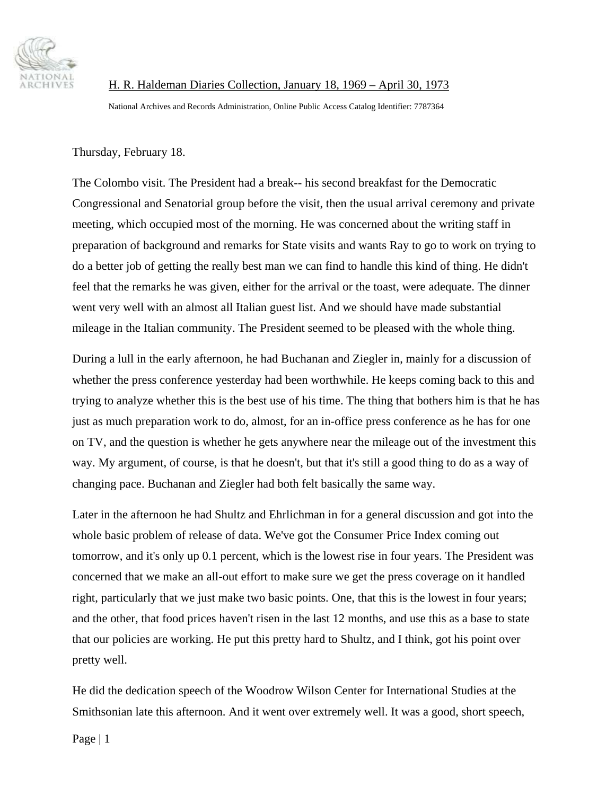

 H. R. Haldeman Diaries Collection, January 18, 1969 – April 30, 1973 National Archives and Records Administration, Online Public Access Catalog Identifier: 7787364

Thursday, February 18.

The Colombo visit. The President had a break-- his second breakfast for the Democratic Congressional and Senatorial group before the visit, then the usual arrival ceremony and private meeting, which occupied most of the morning. He was concerned about the writing staff in preparation of background and remarks for State visits and wants Ray to go to work on trying to do a better job of getting the really best man we can find to handle this kind of thing. He didn't feel that the remarks he was given, either for the arrival or the toast, were adequate. The dinner went very well with an almost all Italian guest list. And we should have made substantial mileage in the Italian community. The President seemed to be pleased with the whole thing.

During a lull in the early afternoon, he had Buchanan and Ziegler in, mainly for a discussion of whether the press conference yesterday had been worthwhile. He keeps coming back to this and trying to analyze whether this is the best use of his time. The thing that bothers him is that he has just as much preparation work to do, almost, for an in-office press conference as he has for one on TV, and the question is whether he gets anywhere near the mileage out of the investment this way. My argument, of course, is that he doesn't, but that it's still a good thing to do as a way of changing pace. Buchanan and Ziegler had both felt basically the same way.

Later in the afternoon he had Shultz and Ehrlichman in for a general discussion and got into the whole basic problem of release of data. We've got the Consumer Price Index coming out tomorrow, and it's only up 0.1 percent, which is the lowest rise in four years. The President was concerned that we make an all-out effort to make sure we get the press coverage on it handled right, particularly that we just make two basic points. One, that this is the lowest in four years; and the other, that food prices haven't risen in the last 12 months, and use this as a base to state that our policies are working. He put this pretty hard to Shultz, and I think, got his point over pretty well.

He did the dedication speech of the Woodrow Wilson Center for International Studies at the Smithsonian late this afternoon. And it went over extremely well. It was a good, short speech,